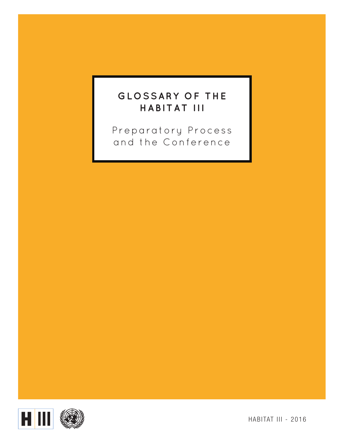### **GLOSSARY OF THE HABITAT III**

Preparatory Process and the Conference



HABITAT III - 2016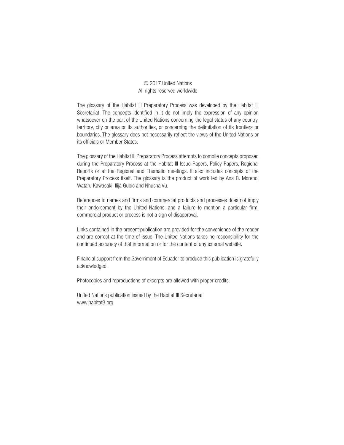#### © 2017 United Nations All rights reserved worldwide

The glossary of the Habitat III Preparatory Process was developed by the Habitat III Secretariat. The concepts identified in it do not imply the expression of any opinion whatsoever on the part of the United Nations concerning the legal status of any country, territory, city or area or its authorities, or concerning the delimitation of its frontiers or boundaries. The glossary does not necessarily reflect the views of the United Nations or its officials or Member States.

The glossary of the Habitat III Preparatory Process attempts to compile concepts proposed during the Preparatory Process at the Habitat III Issue Papers, Policy Papers, Regional Reports or at the Regional and Thematic meetings. It also includes concepts of the Preparatory Process itself. The glossary is the product of work led by Ana B. Moreno, Wataru Kawasaki, Ilija Gubic and Nhusha Vu.

References to names and firms and commercial products and processes does not imply their endorsement by the United Nations, and a failure to mention a particular firm, commercial product or process is not a sign of disapproval.

Links contained in the present publication are provided for the convenience of the reader and are correct at the time of issue. The United Nations takes no responsibility for the continued accuracy of that information or for the content of any external website.

Financial support from the Government of Ecuador to produce this publication is gratefully acknowledged.

Photocopies and reproductions of excerpts are allowed with proper credits.

United Nations publication issued by the Habitat III Secretariat [www.habitat3.org](file:///FREDDIEZ%20BIGG%20FOLDER/FREDDIEZ%20WORK%20FOLDER/In%20Progress/Habitat%20III/H3%20Glossary/ )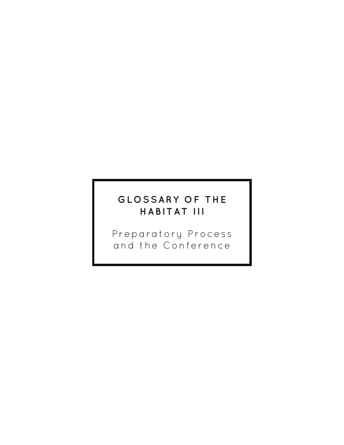### **GLOSSARY OF THE HABITAT III**

Preparatory Process and the Conference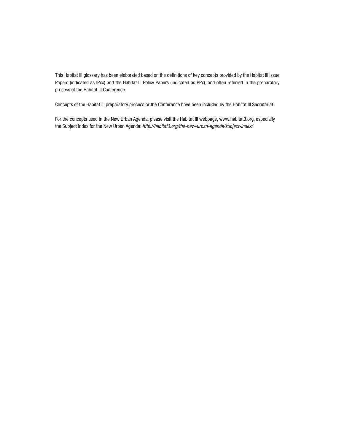This Habitat III glossary has been elaborated based on the definitions of key concepts provided by the Habitat III Issue Papers (indicated as IPxx) and the Habitat III Policy Papers (indicated as PPx), and often referred in the preparatory process of the Habitat III Conference.

Concepts of the Habitat III preparatory process or the Conference have been included by the Habitat III Secretariat.

For the concepts used in the New Urban Agenda, please visit the Habitat III webpage, [www.habitat3.org,](file:///FREDDIEZ%20BIGG%20FOLDER/FREDDIEZ%20WORK%20FOLDER/In%20Progress/Habitat%20III/H3%20Glossary/ ) especially the Subject Index for the New Urban Agenda: *[http://habitat3.org/the-new-urban-agenda/subject-index/](file:///FREDDIEZ%20BIGG%20FOLDER/FREDDIEZ%20WORK%20FOLDER/In%20Progress/Habitat%20III/H3%20Glossary/ )*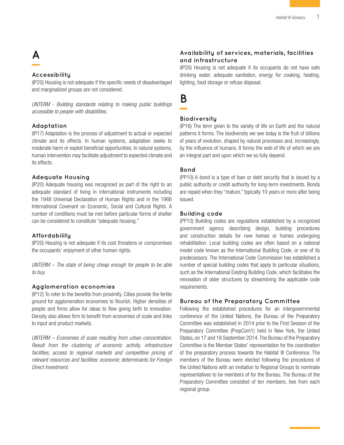## **A**

#### **Accessibility**

(IP20) Housing is not adequate if the specific needs of disadvantaged and marginalized groups are not considered.

*UNTERM - Building standards relating to making public buildings accessible to people with disabilities.* 

#### **Adaptation**

(IP17) Adaptation is the process of adjustment to actual or expected climate and its effects. In human systems, adaptation seeks to moderate harm or exploit beneficial opportunities. In natural systems, human intervention may facilitate adjustment to expected climate and its effects.

#### **Adequate Housing**

(IP20) Adequate housing was recognized as part of the right to an adequate standard of living in international instruments including the 1948 Universal Declaration of Human Rights and in the 1966 International Covenant on Economic, Social and Cultural Rights. A number of conditions must be met before particular forms of shelter can be considered to constitute "adequate housing."

#### **Affordability**

(IP20) Housing is not adequate if its cost threatens or compromises the occupants' enjoyment of other human rights.

*UNTERM – The state of being cheap enough for people to be able to buy.* 

#### **Agglomeration economies**

(IP12) To refer to the benefits from proximity. Cities provide the fertile ground for agglomeration economies to flourish. Higher densities of people and firms allow for ideas to flow giving birth to innovation. Density also allows firm to benefit from economies of scale and links to input and product markets.

*UNTERM – Economies of scale resulting from urban concentration. Result from the clustering of economic activity, infrastructure*  facilities, access to regional markets and competitive pricing of *relevant resources and facilities: economic determinants for Foreign Direct Investment.* 

#### **Availability of services, materials, facilities and infrastructure**

(IP20) Housing is not adequate if its occupants do not have safe drinking water, adequate sanitation, energy for cooking, heating, lighting, food storage or refuse disposal.

**B**

#### **Biodiversity**

(IP16) The term given to the variety of life on Earth and the natural patterns it forms. The biodiversity we see today is the fruit of billions of years of evolution, shaped by natural processes and, increasingly, by the influence of humans. It forms the web of life of which we are an integral part and upon which we so fully depend.

#### **Bond**

(PP10) A bond is a type of loan or debt security that is issued by a public authority or credit authority for long-term investments. Bonds are repaid when they "mature," typically 10 years or more after being issued.

#### **Building code**

(PP10) Building codes are regulations established by a recognized government agency describing design, building procedures and construction details for new homes or homes undergoing rehabilitation. Local building codes are often based on a national model code known as the International Building Code, or one of its predecessors. The International Code Commission has established a number of special building codes that apply to particular situations, such as the International Existing Building Code, which facilitates the renovation of older structures by streamlining the applicable code requirements.

#### **Bureau of the Preparatory Committee**

Following the established procedures for an intergovernmental conference of the United Nations, the Bureau of the Preparatory Committee was established in 2014 prior to the First Session of the Preparatory Committee (PrepCom1) held in New York, the United States, on 17 and 18 September 2014. The Bureau of the Preparatory Committee is the Member States' representation for the coordination of the preparatory process towards the Habitat III Conference. The members of the Bureau were elected following the procedures of the United Nations with an invitation to Regional Groups to nominate representatives to be members of for the Bureau. The Bureau of the Preparatory Committee consisted of ten members, two from each regional group.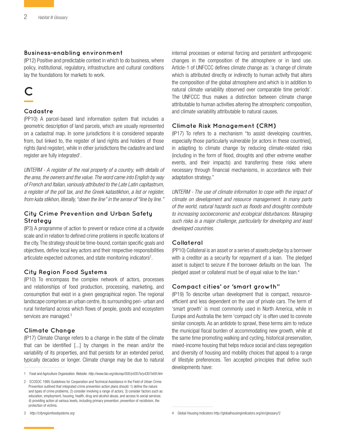#### **Business-enabling environment**

(IP12) Positive and predictable context in which to do business, where policy, institutional, regulatory, infrastructure and cultural conditions lay the foundations for markets to work.

# **C**

#### **Cadastre**

(PP10) A parcel-based land information system that includes a geometric description of land parcels, which are usually represented on a cadastral map. In some jurisdictions it is considered separate from, but linked to, the register of land rights and holders of those rights (land register), while in other jurisdictions the cadastre and land register are fully integrated<sup>1</sup>.

*UNTERM - A register of the real property of a country, with details of the area, the owners and the value. The word came into English by way of French and Italian, variously attributed to the Late Latin capitastrum, a register of the poll tax, and the Greek katastikhon, a list or register, from kata stikhon, literally, "down the line" in the sense of "line by line."*

#### **City Crime Prevention and Urban Safety Strategy**

(IP3) A programme of action to prevent or reduce crime at a citywide scale and in relation to defined crime problems in specific locations of the city. The strategy should be time-bound, contain specific goals and objectives, define local key actors and their respective responsibilities articulate expected outcomes, and state monitoring indicators<sup>2</sup>.

#### **City Region Food Systems**

(IP10) To encompass the complex network of actors, processes and relationships of food production, processing, marketing, and consumption that exist in a given geographical region. The regional landscape comprises an urban centre, its surrounding peri- urban and rural hinterland across which flows of people, goods and ecosystem services are managed.<sup>3</sup>

#### **Climate Change**

(IP17) Climate Change refers to a change in the state of the climate that can be identified [...] by changes in the mean and/or the variability of its properties, and that persists for an extended period, typically decades or longer. Climate change may be due to natural internal processes or external forcing and persistent anthropogenic changes in the composition of the atmosphere or in land use. Article-1 of UNFCCC defines climate change as: 'a change of climate which is attributed directly or indirectly to human activity that alters the composition of the global atmosphere and which is in addition to natural climate variability observed over comparable time periods'. The UNFCCC thus makes a distinction between climate change attributable to human activities altering the atmospheric composition, and climate variability attributable to natural causes.

#### **Climate Risk Management (CRM)**

(IP17) To refers to a mechanism "to assist developing countries, especially those particularly vulnerable [or actors in these countries], in adapting to climate change by reducing climate-related risks (including in the form of flood, droughts and other extreme weather events, and their impacts) and transferring these risks where necessary through financial mechanisms, in accordance with their adaptation strategy."

*UNTERM - The use of climate information to cope with the impact of climate on development and resource management. In many parts of the world, natural hazards such as floods and droughts contribute to increasing socioeconomic and ecological disturbances. Managing such risks is a major challenge, particularly for developing and least developed countries.*

#### **Collateral**

(PP10) Collateral is an asset or a series of assets pledge by a borrower with a creditor as a security for repayment of a loan. The pledged asset is subject to seizure if the borrower defaults on the loan. The pledged asset or collateral must be of equal value to the loan.<sup>4</sup>

#### **Compact cities' or 'smart growth"**

(IP19) To describe urban development that is compact, resourceefficient and less dependent on the use of private cars. The term of 'smart growth' is most commonly used in North America, while in Europe and Australia the term 'compact city' is often used to connote similar concepts. As an antidote to sprawl, these terms aim to reduce the municipal fiscal burden of accommodating new growth, while at the same time promoting walking and cycling, historical preservation, mixed-income housing that helps reduce social and class segregation and diversity of housing and mobility choices that appeal to a range of lifestyle preferences. Ten accepted principles that define such developments have:

<sup>1</sup> Food and Agriculture Organization. Website: *<http://www.fao.org/docrep/005/y4307e/y4307e09.htm>*

<sup>2</sup> ECOSOC 1995 Guidelines for Cooperation and Technical Assistance in the Field of Urban Crime Prevention outlined that integrated crime prevention action plans should: 1) define the nature and types of crime problems; 2) consider involving a range of actors; 3) consider factors such as education, employment, housing, health, drug and alcohol abuse, and access to social services; 4) providing action at various levels, including primary prevention, prevention of recidivism, the protection of victims.

<sup>3</sup> *<http://cityregionfoodsystems.org>*

<sup>4</sup> Global Housing Indicators http://globalhousingindicators.org/en/glossary/2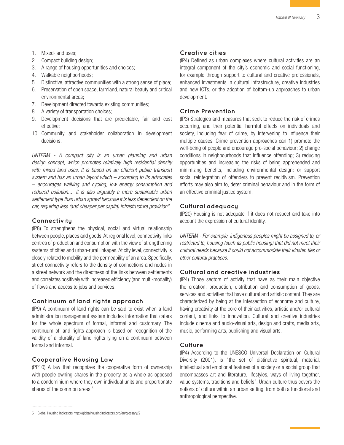- 1. Mixed-land uses;
- 2. Compact building design;
- 3. A range of housing opportunities and choices;
- 4. Walkable neighborhoods;
- 5. Distinctive, attractive communities with a strong sense of place;
- 6. Preservation of open space, farmland, natural beauty and critical environmental areas;
- 7. Development directed towards existing communities;
- 8. A variety of transportation choices;
- 9. Development decisions that are predictable, fair and cost effective;
- 10. Community and stakeholder collaboration in development decisions.

*UNTERM - A compact city is an urban planning and urban design concept, which promotes relatively high residential density*  with mixed land uses. It is based on an efficient public transport *system and has an urban layout which – according to its advocates – encourages walking and cycling, low energy consumption and reduced pollution.... It is also arguably a more sustainable urban settlement type than urban sprawl because it is less dependent on the car, requiring less (and cheaper per capita) infrastructure provision".*

#### **Connectivity**

(IP8) To strengthens the physical, social and virtual relationship between people, places and goods. At regional level, connectivity links centres of production and consumption with the view of strengthening systems of cities and urban-rural linkages. At city level, connectivity is closely related to mobility and the permeability of an area. Specifically, street connectivity refers to the density of connections and nodes in a street network and the directness of the links between settlements and correlates positively with increased efficiency (and multi-modality) of flows and access to jobs and services.

#### **Continuum of land rights approach**

(IP9) A continuum of land rights can be said to exist when a land administration management system includes information that caters for the whole spectrum of formal, informal and customary. The continuum of land rights approach is based on recognition of the validity of a plurality of land rights lying on a continuum between formal and informal.

#### **Cooperative Housing Law**

(PP10) A law that recognizes the cooperative form of ownership with people owning shares in the property as a whole as opposed to a condominium where they own individual units and proportionate shares of the common areas.<sup>5</sup>

#### **Creative cities**

(IP4) Defined as urban complexes where cultural activities are an integral component of the city's economic and social functioning, for example through support to cultural and creative professionals, enhanced investments in cultural infrastructure, creative industries and new ICTs, or the adoption of bottom-up approaches to urban development.

#### **Crime Prevention**

(IP3) Strategies and measures that seek to reduce the risk of crimes occurring, and their potential harmful effects on individuals and society, including fear of crime, by intervening to influence their multiple causes. Crime prevention approaches can 1) promote the well-being of people and encourage pro-social behaviour; 2) change conditions in neighbourhoods that influence offending; 3) reducing opportunities and increasing the risks of being apprehended and minimizing benefits, including environmental design; or support social reintegration of offenders to prevent recidivism. Prevention efforts may also aim to, deter criminal behaviour and in the form of an effective criminal justice system.

#### **Cultural adequacy**

(IP20) Housing is not adequate if it does not respect and take into account the expression of cultural identity.

*UNTERM - For example, indigenous peoples might be assigned to, or restricted to, housing (such as public housing) that did not meet their cultural needs because it could not accommodate their kinship ties or other cultural practices.*

#### **Cultural and creative industries**

(IP4) Those sectors of activity that have as their main objective the creation, production, distribution and consumption of goods, services and activities that have cultural and artistic content. They are characterized by being at the intersection of economy and culture, having creativity at the core of their activities, artistic and/or cultural content, and links to innovation. Cultural and creative industries include cinema and audio-visual arts, design and crafts, media arts, music, performing arts, publishing and visual arts.

#### **Culture**

(IP4) According to the UNESCO Universal Declaration on Cultural Diversity (2001), is "the set of distinctive spiritual, material, intellectual and emotional features of a society or a social group that encompasses art and literature, lifestyles, ways of living together, value systems, traditions and beliefs". Urban culture thus covers the notions of culture within an urban setting, from both a functional and anthropological perspective.

<sup>5</sup> Global Housing Indicators http://globalhousingindicators.org/en/glossary/2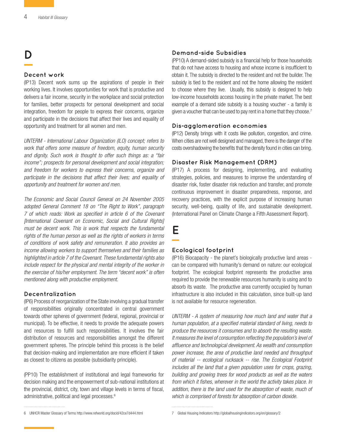### **D**

#### **Decent work**

(IP13) Decent work sums up the aspirations of people in their working lives. It involves opportunities for work that is productive and delivers a fair income, security in the workplace and social protection for families, better prospects for personal development and social integration, freedom for people to express their concerns, organize and participate in the decisions that affect their lives and equality of opportunity and treatment for all women and men.

*UNTERM - International Labour Organization (ILO) concept; refers to work that offers some measure of freedom, equity, human security and dignity. Such work is thought to offer such things as: a "fair income"; prospects for personal development and social integration; and freedom for workers to express their concerns, organize and participate in the decisions that affect their lives; and equality of opportunity and treatment for women and men.* 

*The Economic and Social Council General on 24 November 2005 adopted General Comment 18 on "The Right to Work", paragraph 7 of which reads: Work as specified in article 6 of the Covenant [International Covenant on Economic, Social and Cultural Rights] must be decent work. This is work that respects the fundamental rights of the human person as well as the rights of workers in terms of conditions of work safety and remuneration. It also provides an income allowing workers to support themselves and their families as highlighted in article 7 of the Covenant. These fundamental rights also include respect for the physical and mental integrity of the worker in the exercise of his/her employment. The term "decent work" is often mentioned along with productive employment.*

#### **Decentralization**

(IP6) Process of reorganization of the State involving a gradual transfer of responsibilities originally concentrated in central government towards other spheres of government (federal, regional, provincial or municipal). To be effective, it needs to provide the adequate powers and resources to fulfill such responsibilities. It involves the fair distribution of resources and responsibilities amongst the different government spheres. The principle behind this process is the belief that decision-making and implementation are more efficient if taken as closest to citizens as possible (subsidiarity principle).

(PP10) The establishment of institutional and legal frameworks for decision making and the empowerment of sub-national institutions at the provincial, district, city, town and village levels in terms of fiscal, administrative, political and legal processes.<sup>6</sup>

#### **Demand-side Subsidies**

(PP10) A demand-sided subsidy is a financial help for those households that do not have access to housing and whose income is insufficient to obtain it. The subsidy is directed to the resident and not the builder. The subsidy is tied to the resident and not the home allowing the resident to choose where they live. Usually, this subsidy is designed to help low-income households access housing in the private market. The best example of a demand side subsidy is a housing voucher - a family is given a voucher that can be used to pay rent in a home that they choose.<sup>7</sup>

#### **Dis-agglomeration economies**

(IP12) Density brings with it costs like pollution, congestion, and crime. When cities are not well designed and managed, there is the danger of the costs overshadowing the benefits that the density found in cities can bring.

#### **Disaster Risk Management (DRM)**

(IP17) A process for designing, implementing, and evaluating strategies, policies, and measures to improve the understanding of disaster risk, foster disaster risk reduction and transfer, and promote continuous improvement in disaster preparedness, response, and recovery practices, with the explicit purpose of increasing human security, well-being, quality of life, and sustainable development. (International Panel on Climate Change a Fifth Assessment Report).

### **E**

#### **Ecological footprint**

(IP16) Biocapacity - the planet's biologically productive land areas can be compared with humanity's demand on nature: our ecological footprint. The ecological footprint represents the productive area required to provide the renewable resources humanity is using and to absorb its waste. The productive area currently occupied by human infrastructure is also included in this calculation, since built-up land is not available for resource regeneration.

*UNTERM - A system of measuring how much land and water that a human population, at a specified material standard of living, needs to produce the resources it consumes and to absorb the resulting waste. It measures the level of consumption reflecting the population's level of affluence and technological development. As wealth and consumption power increase, the area of productive land needed and throughput of material -- ecological rucksack -- rise. The Ecological Footprint includes all the land that a given population uses for crops, grazing, building and growing trees for wood products as well as the waters from which it fishes, wherever in the world the activity takes place. In addition, there is the land used for the absorption of waste, much of which is comprised of forests for absorption of carbon dioxide.*

<sup>6</sup> UNHCR Master Glossary of Terms http://www.refworld.org/docid/42ce7d444.html

<sup>7</sup> Global Housing Indicators http://globalhousingindicators.org/en/glossary/2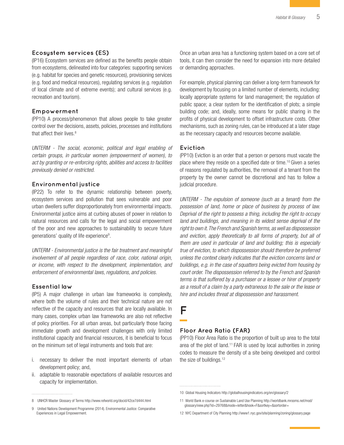#### **Ecosystem services (ES)**

(IP16) Ecosystem services are defined as the benefits people obtain from ecosystems, delineated into four categories: supporting services (e.g. habitat for species and genetic resources), provisioning services (e.g. food and medical resources), regulating services (e.g. regulation of local climate and of extreme events); and cultural services (e.g. recreation and tourism).

#### **Empowerment**

(PP10) A process/phenomenon that allows people to take greater control over the decisions, assets, policies, processes and institutions that affect their lives.<sup>8</sup>

*UNTERM - The social, economic, political and legal enabling of certain groups, in particular women (empowerment of women), to act by granting or re-enforcing rights, abilities and access to facilities previously denied or restricted.*

#### **Environmental justice**

(IP22) To refer to the dynamic relationship between poverty, ecosystem services and pollution that sees vulnerable and poor urban dwellers suffer disproportionately from environmental impacts. Environmental justice aims at curbing abuses of power in relation to natural resources and calls for the legal and social empowerment of the poor and new approaches to sustainability to secure future generations' quality of life experience<sup>9</sup>.

*UNTERM - Environmental justice is the fair treatment and meaningful involvement of all people regardless of race, color, national origin, or income, with respect to the development, implementation, and enforcement of environmental laws, regulations, and policies.*

#### **Essential law**

(IP5) A major challenge in urban law frameworks is complexity, where both the volume of rules and their technical nature are not reflective of the capacity and resources that are locally available. In many cases, complex urban law frameworks are also not reflective of policy priorities. For all urban areas, but particularly those facing immediate growth and development challenges with only limited institutional capacity and financial resources, it is beneficial to focus on the minimum set of legal instruments and tools that are:

- i. necessary to deliver the most important elements of urban development policy; and,
- ii. adaptable to reasonable expectations of available resources and capacity for implementation.

Once an urban area has a functioning system based on a core set of tools, it can then consider the need for expansion into more detailed or demanding approaches.

For example, physical planning can deliver a long-term framework for development by focusing on a limited number of elements, including: locally appropriate systems for land management; the regulation of public space; a clear system for the identification of plots; a simple building code; and, ideally, some means for public sharing in the profits of physical development to offset infrastructure costs. Other mechanisms, such as zoning rules, can be introduced at a later stage as the necessary capacity and resources become available.

#### **Eviction**

(PP10) Eviction is an order that a person or persons must vacate the place where they reside on a specified date or time.10 Given a series of reasons regulated by authorities, the removal of a tenant from the property by the owner cannot be discretional and has to follow a judicial procedure.

*UNTERM - The expulsion of someone (such as a tenant) from the possession of land, home or place of business by process of law. Deprival of the right to possess a thing, including the right to occupy land and buildings, and meaning in its widest sense deprival of the right to own it. The French and Spanish terms, as well as dispossession and eviction, apply theoretically to all forms of property, but all of them are used in particular of land and building; this is especially true of eviction, to which dispossession should therefore be preferred unless the context clearly indicates that the eviction concerns land or buildings, e.g. in the case of squatters being evicted from housing by court order. The dispossession referred to by the French and Spanish terms is that suffered by a purchaser or a lessee or hirer of property as a result of a claim by a party extraneous to the sale or the lease or hire and includes threat at dispossession and harassment.* 

### **F**

#### **Floor Area Ratio (FAR)**

(PP10) Floor Area Ratio is the proportion of built up area to the total area of the plot of land.11 FAR is used by local authorities in zoning codes to measure the density of a site being developed and control the size of buildings.<sup>12</sup>

<sup>8</sup> UNHCR Master Glossary of Terms http://www.refworld.org/docid/42ce7d444.html

<sup>9</sup> United Nations Development Programme (2014). Environmental Justice: Comparative Experiences in Legal Empowerment.

<sup>10</sup> Global Housing Indicators http://globalhousingindicators.org/en/glossary/2

<sup>11</sup> World Bank e-course on Sustainable Land Use Planning http://worldbank.mrooms.net/mod/ glossary/view.php?id=29768&mode=letter&hook=F&sortkey=&sortorder=

<sup>12</sup> NYC Department of City Planning <http://www1.nyc.gov/site/planning/zoning/glossary.page>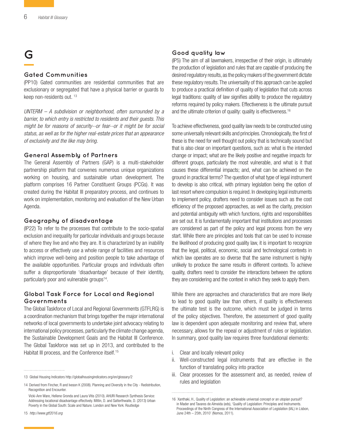### **G**

#### **Gated Communities**

(PP10) Gated communities are residential communities that are exclusionary or segregated that have a physical barrier or guards to keep non-residents out. 13

*UNTERM – A subdivision or neighborhood, often surrounded by a barrier, to which entry is restricted to residents and their guests. This might be for reasons of security--or fear--or it might be for social status, as well as for the higher real-estate prices that an appearance of exclusivity and the like may bring.*

#### **General Assembly of Partners**

The General Assembly of Partners (GAP) is a multi-stakeholder partnership platform that convenes numerous unique organizations working on housing, and sustainable urban development. The platform comprises 16 Partner Constituent Groups (PCGs). It was created during the Habitat III preparatory process, and continues to work on implementation, monitoring and evaluation of the New Urban Agenda.

#### **Geography of disadvantage**

(IP22) To refer to the processes that contribute to the socio-spatial exclusion and inequality for particular individuals and groups because of where they live and who they are. It is characterized by an inability to access or effectively use a whole range of facilities and resources which improve well-being and position people to take advantage of the available opportunities. Particular groups and individuals often suffer a disproportionate 'disadvantage' because of their identity, particularly poor and vulnerable groups<sup>14</sup>.

#### **Global Task Force for Local and Regional Governments**

The Global Taskforce of Local and Regional Governments (GTFLRG) is a coordination mechanism that brings together the major international networks of local governments to undertake joint advocacy relating to international policy processes, particularly the climate change agenda, the Sustainable Development Goals and the Habitat III Conference. The Global Taskforce was set up in 2013, and contributed to the Habitat III process, and the Conference itself.<sup>15</sup>

15 *<http://www.gtf2016.org>*

#### **Good quality law**

(IP5) The aim of all lawmakers, irrespective of their origin, is ultimately the production of legislation and rules that are capable of producing the desired regulatory results, as the policy makers of the government dictate these regulatory results. The universality of this approach can be applied to produce a practical definition of quality of legislation that cuts across legal traditions: quality of law signifies ability to produce the regulatory reforms required by policy makers. Effectiveness is the ultimate pursuit and the ultimate criterion of quality: quality is effectiveness.<sup>16</sup>

To achieve effectiveness, good quality law needs to be constructed using some universally relevant skills and principles. Chronologically, the first of these is the need for well thought out policy that is technically sound but that is also clear on important questions, such as: what is the intended change or impact; what are the likely positive and negative impacts for different groups, particularly the most vulnerable, and what is it that causes these differential impacts; and, what can be achieved on the ground in practical terms? The question of what type of legal instrument to develop is also critical, with primary legislation being the option of last resort where compulsion is required. In developing legal instruments to implement policy, drafters need to consider issues such as the cost efficiency of the proposed approaches, as well as the clarity, precision and potential ambiguity with which functions, rights and responsibilities are set out. It is fundamentally important that institutions and processes are considered as part of the policy and legal process from the very start. While there are principles and tools that can be used to increase the likelihood of producing good quality law, it is important to recognize that the legal, political, economic, social and technological contexts in which law operates are so diverse that the same instrument is highly unlikely to produce the same results in different contexts. To achieve quality, drafters need to consider the interactions between the options they are considering and the context in which they seek to apply them.

While there are approaches and characteristics that are more likely to lead to good quality law than others, if quality is effectiveness the ultimate test is the outcome, which must be judged in terms of the policy objectives. Therefore, the assessment of good quality law is dependent upon adequate monitoring and review that, where necessary, allows for the repeal or adjustment of rules or legislation. In summary, good quality law requires three foundational elements:

- i. Clear and locally relevant policy
- ii. Well-constructed legal instruments that are effective in the function of translating policy into practice
- iii. Clear processes for the assessment and, as needed, review of rules and legislation

<sup>13</sup> Global Housing Indicators http://globalhousingindicators.org/en/glossary/2

<sup>14</sup> Derived from Fincher, R and Iveson K (2008). Planning and Diversity in the City - Redistribution, Recognition and Encounter.

Vicki-Ann Ware, Hellene Gronda and Laura Vitis (2010). AHURI Research Synthesis Service: Addressing locational disadvantage effectively. Mitlin, D. and Satterthwaite, D. (2013) Urban Poverty in the Global South: Scale and Nature. London and New York: Routledge

<sup>16</sup> Xanthaki, H., Quality of Legislation: an achievable universal concept or an utopian pursuit? in Mader and Tavares de Almeida (eds), 'Quality of Legislation: Principles and Instruments. Proceedings of the Ninth Congress of the International Association of Legislation (IAL) in Lisbon, June 24th – 25th, 2010' (Nomos, 2011).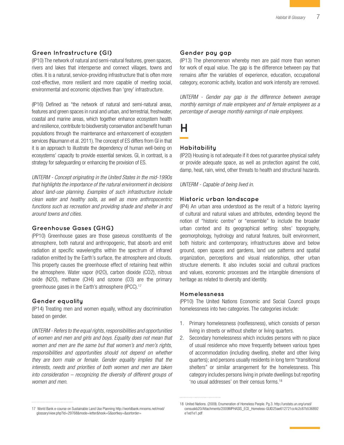#### **Green Infrastructure (GI)**

(IP10) The network of natural and semi-natural features, green spaces, rivers and lakes that intersperse and connect villages, towns and cities. It is a natural, service-providing infrastructure that is often more cost-effective, more resilient and more capable of meeting social, environmental and economic objectives than 'grey' infrastructure.

(IP16) Defined as "the network of natural and semi-natural areas, features and green spaces in rural and urban, and terrestrial, freshwater, coastal and marine areas, which together enhance ecosystem health and resilience, contribute to biodiversity conservation and benefit human populations through the maintenance and enhancement of ecosystem services (Naumann et al. 2011). The concept of ES differs from GI in that it is an approach to illustrate the dependency of human well-being on ecosystems' capacity to provide essential services. GI, in contrast, is a strategy for safeguarding or enhancing the provision of ES.

*UNTERM - Concept originating in the United States in the mid-1990s that highlights the importance of the natural environment in decisions about land-use planning. Examples of such infrastructure include clean water and healthy soils, as well as more anthropocentric functions such as recreation and providing shade and shelter in and around towns and cities.*

#### **Greenhouse Gases (GHG)**

(PP10) Greenhouse gases are those gaseous constituents of the atmosphere, both natural and anthropogenic, that absorb and emit radiation at specific wavelengths within the spectrum of infrared radiation emitted by the Earth's surface, the atmosphere and clouds. This property causes the greenhouse effect of retaining heat within the atmosphere. Water vapor (H2O), carbon dioxide (CO2), nitrous oxide (N2O), methane (CH4) and ozoone (O3) are the primary greenhouse gases in the Earth's atmosphere (IPCC).17

#### **Gender equality**

(IP14) Treating men and women equally, without any discrimination based on gender.

*UNTERM - Refers to the equal rights, responsibilities and opportunities of women and men and girls and boys. Equality does not mean that women and men are the same but that women's and men's rights, responsibilities and opportunities should not depend on whether they are born male or female. Gender equality implies that the interests, needs and priorities of both women and men are taken into consideration – recognizing the diversity of different groups of women and men.*

#### **Gender pay gap**

(IP13) The phenomenon whereby men are paid more than women for work of equal value. The gap is the difference between pay that remains after the variables of experience, education, occupational category, economic activity, location and work intensity are removed.

*UNTERM - Gender pay gap is the difference between average monthly earnings of male employees and of female employees as a percentage of average monthly earnings of male employees.*

**H**

#### **Habitability**

(IP20) Housing is not adequate if it does not guarantee physical safety or provide adequate space, as well as protection against the cold, damp, heat, rain, wind, other threats to health and structural hazards.

*UNTERM - Capable of being lived in.*

#### **Historic urban landscape**

(IP4) An urban area understood as the result of a historic layering of cultural and natural values and attributes, extending beyond the notion of "historic centre" or "ensemble" to include the broader urban context and its geographical setting: sites' topography, geomorphology, hydrology and natural features, built environment, both historic and contemporary, infrastructures above and below ground, open spaces and gardens, land use patterns and spatial organization, perceptions and visual relationships, other urban structure elements. It also includes social and cultural practices and values, economic processes and the intangible dimensions of heritage as related to diversity and identity.

#### **Homelessness**

(PP10) The United Nations Economic and Social Council groups homelessness into two categories. The categories include:

- 1. Primary homelessness (rooflessness), which consists of person living in streets or without shelter or living quarters.
- 2. Secondary homelessness which includes persons with no place of usual residence who move frequently between various types of accommodation (including dwelling, shelter and other living quarters); and persons usually residents in long term "transitional shelters" or similar arrangement for the homelessness. This category includes persons living in private dwellings but reporting 'no usual addresses' on their census forms.18

<sup>17</sup> World Bank e-course on Sustainable Land Use Planning http://worldbank.mrooms.net/mod/ glossary/view.php?id=29768&mode=letter&hook=G&sortkey=&sortorder=

<sup>18</sup> United Nations. (2009). Enumeration of Homeless People. Pg.3. http://unstats.un.org/unsd/ censuskb20/Attachments/2009MPHASIS\_ECE\_Homeless-GUID25ae612721cc4c2c87b536892 e1ed1e1.pdf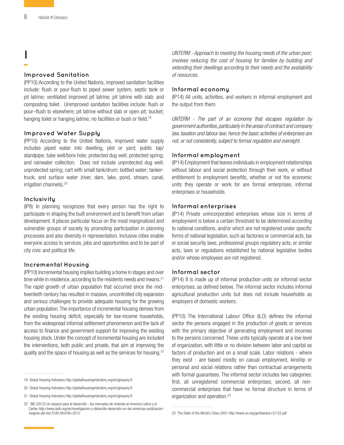**I**

#### **Improved Sanitation**

(PP10) According to the United Nations, improved sanitation facilities include: flush or pour-flush to piped sewer system, septic tank or pit latrine; ventilated improved pit latrine; pit latrine with slab; and composting toilet. Unimproved sanitation facilities include: flush or pour–flush to elsewhere; pit latrine without slab or open pit; bucket; hanging toilet or hanging latrine; no facilities or bush or field.<sup>19</sup>

#### **Improved Water Supply**

(PP10) According to the United Nations, improved water supply includes piped water into dwelling, plot or yard; public tap/ standpipe; tube well/bore hole; protected dug well; protected spring; and rainwater collection. Does not include unprotected dug well; unprotected spring; cart with small tank/drum; bottled water; tankertruck; and surface water (river, dam, lake, pond, stream, canal, irrigation channels).20

#### **Inclusivity**

(IP8) In planning recognizes that every person has the right to participate in shaping the built environment and to benefit from urban development. It places particular focus on the most marginalized and vulnerable groups of society by promoting participation in planning processes and also diversity in representation. Inclusive cities enable everyone access to services, jobs and opportunities and to be part of city civic and political life.

#### **Incremental Housing**

(PP10) Incremental housing implies building a home in stages and over time while in residence, according to the residents needs and means.<sup>21</sup> The rapid growth of urban population that occurred since the midtwentieth century has resulted in massive, uncontrolled city expansion and serious challenges to provide adequate housing for the growing urban population. The importance of incremental housing derives from the existing housing deficit, especially for low-income households, from the widespread informal settlement phenomenon and the lack of access to finance and government support for improving the existing housing stock. Under the concept of incremental housing are included the interventions, both public and private, that aim at improving the quality and the space of housing as well as the services for housing.<sup>22</sup>

*UNTERM - Approach to meeting the housing needs of the urban poor; involves reducing the cost of housing for families by building and extending their dwellings according to their needs and the availability of resources.*

#### **Informal economy**

(IP14) All units, activities, and workers in informal employment and the output from them.

*UNTERM - The part of an economy that escapes regulation by government authorities, particularly in the areas of contract and company law, taxation and labour law; hence the basic activities of enterprises are not, or not consistently, subject to formal regulation and oversight.*

#### **Informal employment**

(IP14) Employment that leaves individuals in employment relationships without labour and social protection through their work, or without entitlement to employment benefits, whether or not the economic units they operate or work for are formal enterprises, informal enterprises or households.

#### **Informal enterprises**

(IP14) Private unincorporated enterprises whose size in terms of employment is below a certain threshold to be determined according to national conditions, and/or which are not registered under specific forms of national legislation, such as factories or commercial acts, tax or social security laws, professional groups regulatory acts, or similar acts, laws or regulations established by national legislative bodies and/or whose employees are not registered.

#### **Informal sector**

(IP14) It is made up of informal production units (or informal sector enterprises, as defined below). The informal sector includes informal agricultural production units but does not include households as employers of domestic workers.

(PP10) The International Labour Office (ILO) defines the informal sector the persons engaged in the production of goods or services with the primary objective of generating employment and incomes to the persons concerned. These units typically operate at a low level of organization, with little or no division between labor and capital as factors of production and on a small scale. Labor relations - where they exist - are based mostly on casual employment, kinship or personal and social relations rather than contractual arrangements with formal guarantees. The informal sector includes two categories: first, all unregistered commercial enterprises; second, all noncommercial enterprises that have no formal structure in terms of organization and operation.<sup>23</sup>

<sup>19</sup> Global Housing Indicators http://globalhousingindicators.org/en/glossary/2

<sup>20</sup> Global Housing Indicators http://globalhousingindicators.org/en/glossary/2

<sup>21</sup> Global Housing Indicators http://globalhousingindicators.org/en/glossary/2

<sup>22</sup> BID (2012) Un espacio para el desarrollo - los mercados de vivienda en America Latina y el Caribe *[http://www.iadb.org/es/investigacion-y-datos/dia-desarrollo-en-las-americas-publicacion](http://www.iadb.org/es/investigacion-y-datos/dia-desarrollo-en-las-americas-publicacion-insignia-del-bid,3185.html?id=2012)[insignia-del-bid,3185.html?id=2012](http://www.iadb.org/es/investigacion-y-datos/dia-desarrollo-en-las-americas-publicacion-insignia-del-bid,3185.html?id=2012)*

<sup>23</sup> The State of the World's Cities 2001 http://www.un.org/ga/Istanbul+5/122.pdf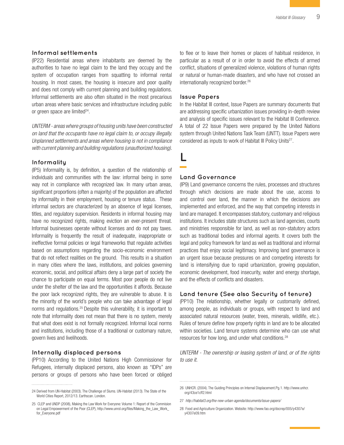#### **Informal settlements**

(IP22) Residential areas where inhabitants are deemed by the authorities to have no legal claim to the land they occupy and the system of occupation ranges from squatting to informal rental housing. In most cases, the housing is insecure and poor quality and does not comply with current planning and building regulations. Informal settlements are also often situated in the most precarious urban areas where basic services and infrastructure including public or green space are limited $24$ .

*UNTERM - areas where groups of housing units have been constructed on land that the occupants have no legal claim to, or occupy illegally. Unplanned settlements and areas where housing is not in compliance with current planning and building regulations (unauthorized housing).*

#### **Informality**

(IP5) Informality is, by definition, a question of the relationship of individuals and communities with the law: informal being in some way not in compliance with recognized law. In many urban areas, significant proportions (often a majority) of the population are affected by informality in their employment, housing or tenure status. These informal sectors are characterized by an absence of legal licenses, titles, and regulatory supervision. Residents in informal housing may have no recognized rights, making eviction an ever-present threat. Informal businesses operate without licenses and do not pay taxes. Informality is frequently the result of inadequate, inappropriate or ineffective formal policies or legal frameworks that regulate activities based on assumptions regarding the socio-economic environment that do not reflect realities on the ground. This results in a situation in many cities where the laws, institutions, and policies governing economic, social, and political affairs deny a large part of society the chance to participate on equal terms. Most poor people do not live under the shelter of the law and the opportunities it affords. Because the poor lack recognized rights, they are vulnerable to abuse. It is the minority of the world's people who can take advantage of legal norms and regulations.25 Despite this vulnerability, it is important to note that informality does not mean that there is no system, merely that what does exist is not formally recognized. Informal local norms and institutions, including those of a traditional or customary nature, govern lives and livelihoods.

#### **Internally displaced persons**

(PP10) According to the United Nations High Commissioner for Refugees, internally displaced persons, also known as "IDPs" are persons or groups of persons who have been forced or obliged

to flee or to leave their homes or places of habitual residence, in particular as a result of or in order to avoid the effects of armed conflict, situations of generalized violence, violations of human rights or natural or human-made disasters, and who have not crossed an internationally recognized border.<sup>26</sup>

#### **Issue Papers**

In the Habitat III context, Issue Papers are summary documents that are addressing specific urbanization issues providing in-depth review and analysis of specific issues relevant to the Habitat III Conference. A total of 22 Issue Papers were prepared by the United Nations system through United Nations Task Team (UNTT). Issue Papers were considered as inputs to work of Habitat III Policy Units<sup>27</sup>.

# **L**

#### **Land Governance**

(IP9) Land governance concerns the rules, processes and structures through which decisions are made about the use, access to and control over land, the manner in which the decisions are implemented and enforced, and the way that competing interests in land are managed. It encompasses statutory, customary and religious institutions. It includes state structures such as land agencies, courts and ministries responsible for land, as well as non-statutory actors such as traditional bodies and informal agents. It covers both the legal and policy framework for land as well as traditional and informal practices that enjoy social legitimacy. Improving land governance is an urgent issue because pressures on and competing interests for land is intensifying due to rapid urbanization, growing population, economic development, food insecurity, water and energy shortage, and the effects of conflicts and disasters.

#### **Land tenure (See also Security of tenure)**

(PP10) The relationship, whether legally or customarily defined, among people, as individuals or groups, with respect to land and associated natural resources (water, trees, minerals, wildlife, etc.). Rules of tenure define how property rights in land are to be allocated within societies. Land tenure systems determine who can use what resources for how long, and under what conditions.28

*UNTERM - The ownership or leasing system of land, or of the rights to use it.*

<sup>24</sup> Derived from UN-Habitat (2003). The Challenge of Slums. UN-Habitat (2013). The State of the World Cities Report, 2012/13. Earthscan. London.

<sup>25</sup> CLEP and UNDP (2008), Making the Law Work for Everyone: Volume 1: Report of the Commision on Legal Empowerment of the Poor (CLEP), http://www.unrol.org/files/Making\_the\_Law\_Work\_ for\_Everyone.pdf

<sup>26</sup> UNHCR. (2004). The Guiding Principles on Internal Displacement.Pg.1. http://www.unhcr. org/43ce1cff2.html

<sup>27</sup> *<http://habitat3.org/the-new-urban-agenda/documents/issue-papers/>*

<sup>28</sup> Food and Agriculture Organization. Website: http://www.fao.org/docrep/005/y4307e/ y4307e09.htm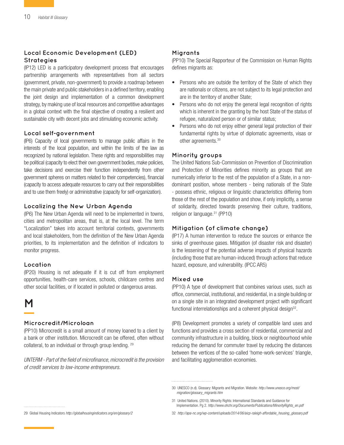#### **Local Economic Development (LED) Strategies**

(IP12) LED is a participatory development process that encourages partnership arrangements with representatives from all sectors (government, private, non-government) to provide a roadmap between the main private and public stakeholders in a defined territory, enabling the joint design and implementation of a common development strategy, by making use of local resources and competitive advantages in a global context with the final objective of creating a resilient and sustainable city with decent jobs and stimulating economic activity.

#### **Local self-government**

(IP6) Capacity of local governments to manage public affairs in the interests of the local population, and within the limits of the law as recognized by national legislation. These rights and responsibilities may be political (capacity to elect their own government bodies, make policies, take decisions and exercise their function independently from other government spheres on matters related to their competencies), financial (capacity to access adequate resources to carry out their responsibilities and to use them freely) or administrative (capacity for self-organization).

#### **Localizing the New Urban Agenda**

(IP6) The New Urban Agenda will need to be implemented in towns, cities and metropolitan areas, that is, at the local level. The term "Localization" takes into account territorial contexts, governments and local stakeholders, from the definition of the New Urban Agenda priorities, to its implementation and the definition of indicators to monitor progress.

#### **Location**

(IP20) Housing is not adequate if it is cut off from employment opportunities, health-care services, schools, childcare centres and other social facilities, or if located in polluted or dangerous areas.

# **M**

#### **Microcredit/Microloan**

(PP10) Microcredit is a small amount of money loaned to a client by a bank or other institution. Microcredit can be offered, often without collateral, to an individual or through group lending. 29

*UNTERM - Part of the field of microfinance, microcredit is the provision of credit services to low-income entrepreneurs.*

#### **Migrants**

(PP10) The Special Rapporteur of the Commission on Human Rights defines migrants as:

- Persons who are outside the territory of the State of which they are nationals or citizens, are not subject to its legal protection and are in the territory of another State;
- Persons who do not enjoy the general legal recognition of rights which is inherent in the granting by the host State of the status of refugee, naturalized person or of similar status;
- Persons who do not enjoy either general legal protection of their fundamental rights by virtue of diplomatic agreements, visas or other agreements.30

#### **Minority groups**

The United Nations Sub-Commission on Prevention of Discrimination and Protection of Minorities defines minority as groups that are numerically inferior to the rest of the population of a State, in a nondominant position, whose members - being nationals of the State - possess ethnic, religious or linguistic characteristics differing from those of the rest of the population and show, if only implicitly, a sense of solidarity, directed towards preserving their culture, traditions, religion or language.31 (PP10)

#### **Mitigation (of climate change)**

(IP17) A human intervention to reduce the sources or enhance the sinks of greenhouse gases. Mitigation (of disaster risk and disaster) is the lessening of the potential adverse impacts of physical hazards (including those that are human-induced) through actions that reduce hazard, exposure, and vulnerability. (IPCC AR5)

#### **Mixed use**

(PP10) A type of development that combines various uses, such as office, commercial, institutional, and residential, in a single building or on a single site in an integrated development project with significant functional interrelationships and a coherent physical design $32$ .

(IP8) Development promotes a variety of compatible land uses and functions and provides a cross section of residential, commercial and community infrastructure in a building, block or neighbourhood while reducing the demand for commuter travel by reducing the distances between the vertices of the so-called 'home-work-services' triangle, and facilitating agglomeration economies.

29 Global Housing Indicators *<http://globalhousingindicators.org/en/glossary/2>*

32 *[http://apa-nc.org/wp-content/uploads/2014/06/aicp-raleigh-affordable\\_housing\\_glossary.pdf](http://apa-nc.org/wp-content/uploads/2014/06/aicp-raleigh-affordable_housing_glossary.pdf)*

<sup>30</sup> UNESCO (n.d). Glossary: Migrants and Migration. Website: *[http://www.unesco.org/most/](http://www.unesco.org/most/migration/glossary_migrants.htm) [migration/glossary\\_migrants.htm](http://www.unesco.org/most/migration/glossary_migrants.htm)*

<sup>31</sup> United Nations. (2010). Minority Rights: International Standards and Guidance for Implementation. Pg 2. *[http://www.ohchr.org/Documents/Publications/MinorityRights\\_en.pdf](file:///FREDDIEZ%20BIGG%20FOLDER/FREDDIEZ%20WORK%20FOLDER/In%20Progress/Habitat%20III/H3%20Glossary/Documents/Publications/MinorityRights_en.pdf)*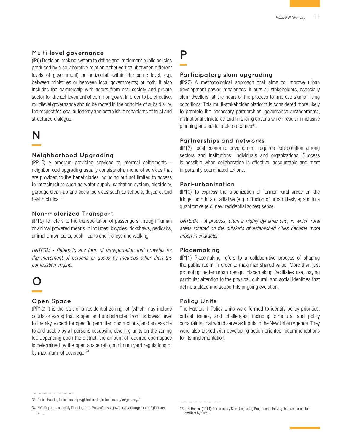#### **Multi-level governance**

(IP6) Decision-making system to define and implement public policies produced by a collaborative relation either vertical (between different levels of government) or horizontal (within the same level, e.g. between ministries or between local governments) or both. It also includes the partnership with actors from civil society and private sector for the achievement of common goals. In order to be effective, multilevel governance should be rooted in the principle of subsidiarity, the respect for local autonomy and establish mechanisms of trust and structured dialogue.

### **N**

#### **Neighborhood Upgrading**

(PP10) A program providing services to informal settlements neighborhood upgrading usually consists of a menu of services that are provided to the beneficiaries including but not limited to access to infrastructure such as water supply, sanitation system, electricity, garbage clean-up and social services such as schools, daycare, and health clinics.<sup>33</sup>

#### **Non-motorized Transport**

(IP19) To refers to the transportation of passengers through human or animal powered means. It includes, bicycles, rickshaws, pedicabs, animal drawn carts, push –carts and trolleys and walking.

*UNTERM - Refers to any form of transportation that provides for the movement of persons or goods by methods other than the combustion engine.*

# **O**

#### **Open Space**

(PP10) It is the part of a residential zoning lot (which may include courts or yards) that is open and unobstructed from its lowest level to the sky, except for specific permitted obstructions, and accessible to and usable by all persons occupying dwelling units on the zoning lot. Depending upon the district, the amount of required open space is determined by the open space ratio, minimum yard regulations or by maximum lot coverage.<sup>34</sup>

# **P**

#### **Participatory slum upgrading**

(IP22) A methodological approach that aims to improve urban development power imbalances. It puts all stakeholders, especially slum dwellers, at the heart of the process to improve slums' living conditions. This multi-stakeholder platform is considered more likely to promote the necessary partnerships, governance arrangements, institutional structures and financing options which result in inclusive planning and sustainable outcomes<sup>35</sup>.

#### **Partnerships and networks**

(IP12) Local economic development requires collaboration among sectors and institutions, individuals and organizations. Success is possible when collaboration is effective, accountable and most importantly coordinated actions.

#### **Peri-urbanization**

(IP10) To express the urbanization of former rural areas on the fringe, both in a qualitative (e.g. diffusion of urban lifestyle) and in a quantitative (e.g. new residential zones) sense.

*UNTERM - A process, often a highly dynamic one, in which rural areas located on the outskirts of established cities become more urban in character.*

#### **Placemaking**

(IP11) Placemaking refers to a collaborative process of shaping the public realm in order to maximize shared value. More than just promoting better urban design, placemaking facilitates use, paying particular attention to the physical, cultural, and social identities that define a place and support its ongoing evolution.

#### **Policy Units**

The Habitat III Policy Units were formed to identify policy priorities, critical issues, and challenges, including structural and policy constraints, that would serve as inputs to the New Urban Agenda. They were also tasked with developing action-oriented recommendations for its implementation.

<sup>33</sup> Global Housing Indicators http://globalhousingindicators.org/en/glossary/2

<sup>34</sup> NYC Department of City Planning [http://www1.nyc.gov/site/planning/zoning/glossary.](http://www1.nyc.gov/site/planning/zoning/glossary.page) [page](http://www1.nyc.gov/site/planning/zoning/glossary.page)

<sup>35</sup> UN-Habitat (2014). Participatory Slum Upgrading Programme: Halving the number of slum dwellers by 2020.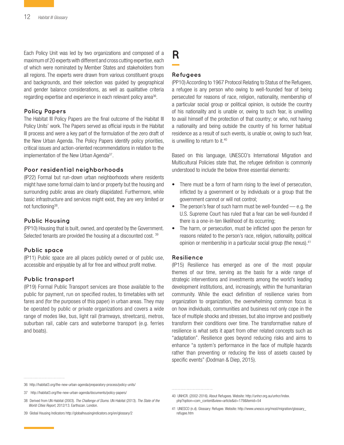Each Policy Unit was led by two organizations and composed of a maximum of 20 experts with different and cross cutting expertise, each of which were nominated by Member States and stakeholders from all regions. The experts were drawn from various constituent groups and backgrounds, and their selection was guided by geographical and gender balance considerations, as well as qualitative criteria regarding expertise and experience in each relevant policy area<sup>36</sup>.

#### **Policy Papers**

The Habitat III Policy Papers are the final outcome of the Habitat III Policy Units' work. The Papers served as official inputs in the Habitat III process and were a key part of the formulation of the zero draft of the New Urban Agenda. The Policy Papers identify policy priorities, critical issues and action-oriented recommendations in relation to the implementation of the New Urban Agenda<sup>37</sup>.

#### **Poor residential neighborhoods**

(IP22) Formal but run-down urban neighborhoods where residents might have some formal claim to land or property but the housing and surrounding public areas are clearly dilapidated. Furthermore, while basic infrastructure and services might exist, they are very limited or not functioning<sup>38</sup>.

#### **Public Housing**

(PP10) Housing that is built, owned, and operated by the Government. Selected tenants are provided the housing at a discounted cost. 39

#### **Public space**

(IP11) Public space are all places publicly owned or of public use, accessible and enjoyable by all for free and without profit motive.

#### **Public transport**

(IP19) Formal Public Transport services are those available to the public for payment, run on specified routes, to timetables with set fares and (for the purposes of this paper) in urban areas. They may be operated by public or private organizations and covers a wide range of modes like, bus, light rail (tramways, streetcars), metros, suburban rail, cable cars and waterborne transport (e.g. ferries and boats).

# **R**

#### **Refugees**

(PP10) According to 1967 Protocol Relating to Status of the Refugees, a refugee is any person who owing to well-founded fear of being persecuted for reasons of race, religion, nationality, membership of a particular social group or political opinion, is outside the country of his nationality and is unable or, owing to such fear, is unwilling to avail himself of the protection of that country; or who, not having a nationality and being outside the country of his former habitual residence as a result of such events, is unable or, owing to such fear, is unwilling to return to it.<sup>40</sup>

Based on this language, UNESCO's International Migration and Multicultural Policies state that, the refugee definition is commonly understood to include the below three essential elements:

- There must be a form of harm rising to the level of persecution, inflicted by a government or by individuals or a group that the government cannot or will not control;
- The person's fear of such harm must be well-founded  $-$  e.g. the U.S. Supreme Court has ruled that a fear can be well-founded if there is a one-in-ten likelihood of its occurring;
- The harm, or persecution, must be inflicted upon the person for reasons related to the person's race, religion, nationality, political opinion or membership in a particular social group (the nexus).<sup>41</sup>

#### **Resilience**

(IP15) Resilience has emerged as one of the most popular themes of our time, serving as the basis for a wide range of strategic interventions and investments among the world's leading development institutions, and, increasingly, within the humanitarian community. While the exact definition of resilience varies from organization to organization, the overwhelming common focus is on how individuals, communities and business not only cope in the face of multiple shocks and stresses, but also improve and positively transform their conditions over time. The transformative nature of resilience is what sets it apart from other related concepts such as "adaptation". Resilience goes beyond reducing risks and aims to enhance "a system's performance in the face of multiple hazards rather than preventing or reducing the loss of assets caused by specific events" (Dodman & Diep, 2015).

<sup>36</sup> <http://habitat3.org/the-new-urban-agenda/preparatory-process/policy-units/>

<sup>37</sup> http://habitat3.org/the-new-urban-agenda/documents/policy-papers/

<sup>38</sup> Derived from UN-Habitat (2003). *The Challenge of Slums*. UN-Habitat (2013). *The State of the World Cities Report*, 2012/13. Earthscan. London.

<sup>39</sup> Global Housing Indicators http://globalhousingindicators.org/en/glossary/2

<sup>40</sup> UNHCR. (2002-2016). About Refugees. Website: http://unhcr.org.au/unhcr/index. php?option=com\_content&view=article&id=179&Itemid=54

<sup>41</sup> UNESCO (n.d). Glossary: Refugee. Website: http://www.unesco.org/most/migration/glossary\_ refugee.htm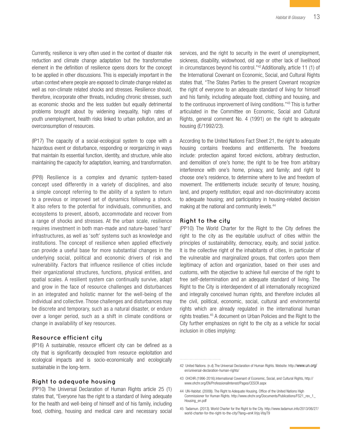Currently, resilience is very often used in the context of disaster risk reduction and climate change adaptation but the transformative element in the definition of resilience opens doors for the concept to be applied in other discussions. This is especially important in the urban context where people are exposed to climate change related as well as non-climate related shocks and stresses. Resilience should, therefore, incorporate other threats, including chronic stresses, such as economic shocks and the less sudden but equally detrimental problems brought about by widening inequality, high rates of youth unemployment, health risks linked to urban pollution, and an overconsumption of resources.

(IP17) The capacity of a social-ecological system to cope with a hazardous event or disturbance, responding or reorganizing in ways that maintain its essential function, identity, and structure, while also maintaining the capacity for adaptation, learning, and transformation.

(PP8) Resilience is a complex and dynamic system-based concept used differently in a variety of disciplines, and also a simple concept referring to the ability of a system to return to a previous or improved set of dynamics following a shock. It also refers to the potential for individuals, communities, and ecosystems to prevent, absorb, accommodate and recover from a range of shocks and stresses. At the urban scale, resilience requires investment in both man-made and nature-based 'hard' infrastructures, as well as 'soft' systems such as knowledge and institutions. The concept of resilience when applied effectively can provide a useful base for more substantial changes in the underlying social, political and economic drivers of risk and vulnerability. Factors that influence resilience of cities include their organizational structures, functions, physical entities, and spatial scales. A resilient system can continually survive, adapt and grow in the face of resource challenges and disturbances in an integrated and holistic manner for the well-being of the individual and collective. Those challenges and disturbances may be discrete and temporary, such as a natural disaster, or endure over a longer period, such as a shift in climate conditions or change in availability of key resources.

#### **Resource efficient city**

(IP16) A sustainable, resource efficient city can be defined as a city that is significantly decoupled from resource exploitation and ecological impacts and is socio-economically and ecologically sustainable in the long-term.

#### **Right to adequate housing**

(PP10) The Universal Declaration of Human Rights article 25 (1) states that, "Everyone has the right to a standard of living adequate for the health and well-being of himself and of his family, including food, clothing, housing and medical care and necessary social services, and the right to security in the event of unemployment, sickness, disability, widowhood, old age or other lack of livelihood in circumstances beyond his control."42 Additionally, article 11 (1) of the International Covenant on Economic, Social, and Cultural Rights states that, "The States Parties to the present Covenant recognize the right of everyone to an adequate standard of living for himself and his family, including adequate food, clothing and housing, and to the continuous improvement of living conditions."43 This is further articulated in the Committee on Economic, Social and Cultural Rights, general comment No. 4 (1991) on the right to adequate housing (E/1992/23).

According to the United Nations Fact Sheet 21, the right to adequate housing contains freedoms and entitlements. The freedoms include: protection against forced evictions, arbitrary destruction, and demolition of one's home; the right to be free from arbitrary interference with one's home, privacy, and family; and right to choose one's residence, to determine where to live and freedom of movement. The entitlements include: security of tenure; housing, land, and property restitution; equal and non-discriminatory access to adequate housing; and participatory in housing-related decision making at the national and community levels.<sup>44</sup>

#### **Right to the city**

(PP10) The World Charter for the Right to the City defines the right to the city as the equitable usufruct of cities within the principles of sustainability, democracy, equity, and social justice. It is the collective right of the inhabitants of cities, in particular of the vulnerable and marginalized groups, that confers upon them legitimacy of action and organization, based on their uses and customs, with the objective to achieve full exercise of the right to free self-determination and an adequate standard of living. The Right to the City is interdependent of all internationally recognized and integrally conceived human rights, and therefore includes all the civil, political, economic, social, cultural and environmental rights which are already regulated in the international human rights treaties.45 A document on Urban Policies and the Right to the City further emphasizes on right to the city as a vehicle for social inclusion in cities implying:

<sup>42</sup> United Nations. (n.d).The Universal Declaration of Human Rights. Website: http://www.un.org/ en/universal-declaration-human-rights/

<sup>43</sup> OHCHR.(1996-2016).International Covenant of Economic, Social, and Cultural Rights, http:// www.ohchr.org/EN/ProfessionalInterest/Pages/CESCR.aspx

<sup>44</sup> UN-Habitat. (2009)). The Right to Adequate Housing. Office of the United Nations High Commissioner for Human Rights. http://www.ohchr.org/Documents/Publications/FS21\_rev\_1\_ Housing\_en.pdf

<sup>45</sup> Tadamun. (2013). World Charter for the Right to the City. http://www.tadamun.info/2013/06/27/ world-charter-for-the-right-to-the-city/?lang=en#.Vrjq-VlsyT9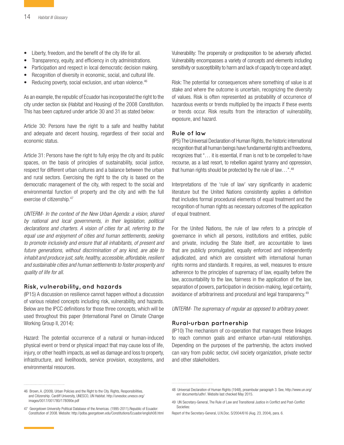- Liberty, freedom, and the benefit of the city life for all.
- Transparency, equity, and efficiency in city administrations.
- Participation and respect in local democratic decision making.
- Recognition of diversity in economic, social, and cultural life.
- Reducing poverty, social exclusion, and urban violence.<sup>46</sup>

As an example, the republic of Ecuador has incorporated the right to the city under section six (Habitat and Housing) of the 2008 Constitution. This has been captured under article 30 and 31 as stated below:

Article 30: Persons have the right to a safe and healthy habitat and adequate and decent housing, regardless of their social and economic status.

Article 31: Persons have the right to fully enjoy the city and its public spaces, on the basis of principles of sustainability, social justice, respect for different urban cultures and a balance between the urban and rural sectors. Exercising the right to the city is based on the democratic management of the city, with respect to the social and environmental function of property and the city and with the full exercise of citizenship.47

*UNTERM- In the context of the New Urban Agenda: a vision, shared by national and local governments, in their legislation, political declarations and charters. A vision of cities for all, referring to the equal use and enjoyment of cities and human settlements, seeking to promote inclusivity and ensure that all inhabitants, of present and future generations, without discrimination of any kind, are able to inhabit and produce just, safe, healthy, accessible, affordable, resilient and sustainable cities and human settlements to foster prosperity and quality of life for all.*

#### **Risk, vulnerability, and hazards**

(IP15) A discussion on resilience cannot happen without a discussion of various related concepts including risk, vulnerability, and hazards. Below are the IPCC definitions for those three concepts, which will be used throughout this paper (International Panel on Climate Change Working Group II, 2014):

Hazard: The potential occurrence of a natural or human-induced physical event or trend or physical impact that may cause loss of life, injury, or other health impacts, as well as damage and loss to property, infrastructure, and livelihoods, service provision, ecosystems, and environmental resources.

46 Brown, A. (2009). Urban Policies and the Right to the City. Rights, Responsibilities, and Citizenship. Cardiff University, UNESCO, UN Habitat. http://unesdoc.unesco.org/ images/0017/001780/178090e.pdf

Vulnerability: The propensity or predisposition to be adversely affected. Vulnerability encompasses a variety of concepts and elements including sensitivity or susceptibility to harm and lack of capacity to cope and adapt.

Risk: The potential for consequences where something of value is at stake and where the outcome is uncertain, recognizing the diversity of values. Risk is often represented as probability of occurrence of hazardous events or trends multiplied by the impacts if these events or trends occur. Risk results from the interaction of vulnerability, exposure, and hazard.

#### **Rule of law**

(IP5) The [Universal Declaration of Human Rights](file:///FREDDIEZ%20BIGG%20FOLDER/FREDDIEZ%20WORK%20FOLDER/In%20Progress/Habitat%20III/H3%20Glossary/ ), the historic international recognition that all human beings have fundamental rights and freedoms, recognizes that "… it is essential, if man is not to be compelled to have recourse, as a last resort, to rebellion against tyranny and oppression, that human rights should be protected by the rule of law...". $48$ 

Interpretations of the 'rule of law' vary significantly in academic literature but the United Nations consistently applies a definition that includes formal procedural elements of equal treatment and the recognition of human rights as necessary outcomes of the application of equal treatment.

For the United Nations, the rule of law refers to a principle of governance in which all persons, institutions and entities, public and private, including the State itself, are accountable to laws that are publicly promulgated, equally enforced and independently adjudicated, and which are consistent with international human rights norms and standards. It requires, as well, measures to ensure adherence to the principles of supremacy of law, equality before the law, accountability to the law, fairness in the application of the law, separation of powers, participation in decision-making, legal certainty, avoidance of arbitrariness and procedural and legal transparency.49

*UNTERM- The supremacy of regular as opposed to arbitrary power.*

#### **Rural-urban partnership**

(IP10) The mechanism of co-operation that manages these linkages to reach common goals and enhance urban-rural relationships. Depending on the purposes of the partnership, the actors involved can vary from public sector, civil society organization, private sector and other stakeholders.

<sup>47</sup> Georgetown University Political Database of the Americas. (1995-2011).Republic of Ecuador: Constitution of 2008. Website: http://pdba.georgetown.edu/Constitutions/Ecuador/english08.html

<sup>48</sup> Universal Declaration of Human Rights (1948), preambular paragraph 3. See, [http://www.un.org/](file:///FREDDIEZ%20BIGG%20FOLDER/FREDDIEZ%20WORK%20FOLDER/In%20Progress/Habitat%20III/H3%20Glossary/ documents/udhr/) [en/ documents/udhr/.](file:///FREDDIEZ%20BIGG%20FOLDER/FREDDIEZ%20WORK%20FOLDER/In%20Progress/Habitat%20III/H3%20Glossary/ documents/udhr/) Website last checked May 2015.

<sup>49</sup> UN Secretary-General, The Rule of Law and Transitional Justice in Conflict and Post-Conflict Societies:

Report of the Secretary-General, U.N.Doc. S/2004/616 (Aug. 23, 2004), para. 6.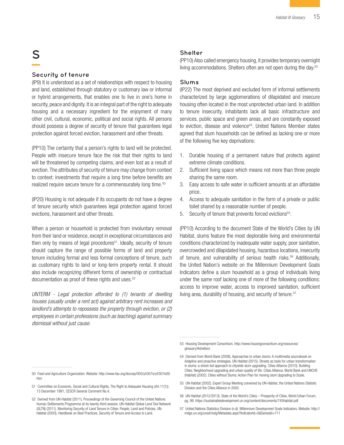# **S**

#### **Security of tenure**

(IP9) It is understood as a set of relationships with respect to housing and land, established through statutory or customary law or informal or hybrid arrangements, that enables one to live in one's home in security, peace and dignity. It is an integral part of the right to adequate housing and a necessary ingredient for the enjoyment of many other civil, cultural, economic, political and social rights. All persons should possess a degree of security of tenure that guarantees legal protection against forced eviction, harassment and other threats.

(PP10) The certainty that a person's rights to land will be protected. People with insecure tenure face the risk that their rights to land will be threatened by competing claims, and even lost as a result of eviction. The attributes of security of tenure may change from context to context: investments that require a long time before benefits are realized require secure tenure for a commensurately long time.<sup>50</sup>

(IP20) Housing is not adequate if its occupants do not have a degree of tenure security which guarantees legal protection against forced evictions, harassment and other threats.

When a person or household is protected from involuntary removal from their land or residence, except in exceptional circumstances and then only by means of legal procedures<sup>51</sup>. Ideally, security of tenure should capture the range of possible forms of land and property tenure including formal and less formal conceptions of tenure, such as customary rights to land or long-term property rental. It should also include recognizing different forms of ownership or contractual documentation as proof of these rights and uses.<sup>52</sup>

*UNTERM - Legal protection afforded to (1) tenants of dwelling houses (usually under a rent act) against arbitrary rent increases and landlord's attempts to repossess the property through eviction, or (2) employees in certain professions (such as teaching) against summary dismissal without just cause.*

#### **Shelter**

(PP10) Also called emergency housing, it provides temporary overnight living accommodations. Shelters often are not open during the day.<sup>53</sup>

#### **Slums**

(IP22) The most deprived and excluded form of informal settlements characterized by large agglomerations of dilapidated and insecure housing often located in the most unprotected urban land. In addition to tenure insecurity, inhabitants lack all basic infrastructure and services, public space and green areas, and are constantly exposed to eviction, disease and violence<sup>54</sup>. United Nations Member states agreed that slum households can be defined as lacking one or more of the following five key deprivations:

- 1. Durable housing of a permanent nature that protects against extreme climate conditions.
- 2. Sufficient living space which means not more than three people sharing the same room.
- 3. Easy access to safe water in sufficient amounts at an affordable price.
- 4. Access to adequate sanitation in the form of a private or public toilet shared by a reasonable number of people.
- 5. Security of tenure that prevents forced evictions<sup>55</sup>.

(PP10) According to the document State of the World's Cities by UN Habitat, slums feature the most deplorable living and environmental conditions characterized by inadequate water supply, poor sanitation, overcrowded and dilapidated housing, hazardous locations, insecurity of tenure, and vulnerability of serious health risks.<sup>56</sup> Additionally, the United Nation's website on the Millennium Development Goals Indicators define a slum household as a group of individuals living under the same roof lacking one of more of the following conditions: access to improve water, access to improved sanitation, sufficient living area, durability of housing, and security of tenure.<sup>57</sup>

- 55 UN-Habitat (2002). Expert Group Meeting convened by UN-Habitat, the United Nations Statistic Division and the Cities Alliance in 2002.
- 56 UN-Habitat (2012/2013). State of the World's Cities Prosperity of Cities. World Urban Forum, pg. 99. <https://sustainabledevelopment.un.org/content/documents/745habitat.pdf>
- 57 United Nations Statistics Division (n.d). Millennium Development Goals Indicators. Website: [http://](file:///FREDDIEZ%20BIGG%20FOLDER/FREDDIEZ%20WORK%20FOLDER/In%20Progress/Habitat%20III/H3%20Glossary/sd/mdg/Metadata.aspx?IndicatorId=0&SeriesId=711) [mdgs.un.org/unsd/mdg/Metadata.aspx?IndicatorId=0&SeriesId=711](file:///FREDDIEZ%20BIGG%20FOLDER/FREDDIEZ%20WORK%20FOLDER/In%20Progress/Habitat%20III/H3%20Glossary/sd/mdg/Metadata.aspx?IndicatorId=0&SeriesId=711)

<sup>53</sup> Housing Development Consortium. [http://www.housingconsortium.org/resources/](http://www.housingconsortium.org/resources/glossary/#shelters) [glossary/#shelters](http://www.housingconsortium.org/resources/glossary/#shelters)

<sup>54</sup> Derived from World Bank (2008). Approaches to urban slums: A multimedia sourcebook on Adaptive and proactive strategies. UN-Habitat (2015). Streets as tools for urban transformation in slums: a street-led approach to citywide slum upgrading. Cities Alliance (2010). Building Cities: Neighborhood upgrading and urban quality of life. Cities Alliance, World Bank and UNCHS (Habitat) (2002). Cities without Slums: Action Plan for moving slum Upgrading to Scale.

<sup>50</sup> Food and Agriculture Organization. Website: [http://www.fao.org/docrep/005/y4307e/y4307e09.](http://www.fao.org/docrep/005/y4307e/y4307e09.htm) [htm](http://www.fao.org/docrep/005/y4307e/y4307e09.htm)

<sup>51</sup> Committee on Economic, Social and Cultural Rights, The Right to Adequate Housing (Art.11(1)): 13 December 1991, CESCR General Comment No.4.

<sup>52</sup> Derived from UN-Habitat (2011). Proceedings of the Governing Council of the United Nations Human Settlements Programme at its twenty-third session. UN-Habitat Global Land Tool Network (GLTN) (2011). Monitoring Security of Land Tenure in Cities: People, Land and Policies. UN-Habitat (2003). Handbook on Best Practices, Security of Tenure and Access to Land.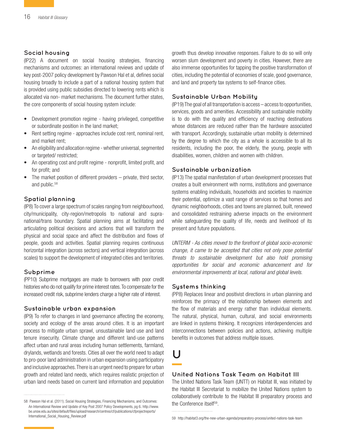#### **Social housing**

(IP22) A document on social housing strategies, financing mechanisms and outcomes: an international reviews and update of key post-2007 policy development by Pawson Hal et al, defines social housing broadly to include a part of a national housing system that is provided using public subsidies directed to lowering rents which is allocated via non- market mechanisms. The document further states, the core components of social housing system include:

- Development promotion regime having privileged, competitive or subordinate position in the land market;
- Rent setting regime approaches include cost rent, nominal rent, and market rent;
- An eligibility and allocation regime whether universal, segmented or targeted/ restricted;
- An operating cost and profit regime nonprofit, limited profit, and for profit; and
- The market position of different providers  $-$  private, third sector, and public.58

#### **Spatial planning**

(IP8) To cover a large spectrum of scales ranging from neighbourhood, city/municipality, city-region/metropolis to national and supranational/trans boundary. Spatial planning aims at facilitating and articulating political decisions and actions that will transform the physical and social space and affect the distribution and flows of people, goods and activities. Spatial planning requires continuous horizontal integration (across sectors) and vertical integration (across scales) to support the development of integrated cities and territories.

#### **Subprime**

(PP10) Subprime mortgages are made to borrowers with poor credit histories who do not qualify for prime interest rates. To compensate for the increased credit risk, subprime lenders charge a higher rate of interest.

#### **Sustainable urban expansion**

(IP9) To refer to changes in land governance affecting the economy, society and ecology of the areas around cities. It is an important process to mitigate urban sprawl, unsustainable land use and land tenure insecurity. Climate change and different land-use patterns affect urban and rural areas including human settlements, farmland, drylands, wetlands and forests. Cities all over the world need to adapt to pro-poor land administration in urban expansion using participatory and inclusive approaches. There is an urgent need to prepare for urban growth and related land needs, which requires realistic projection of urban land needs based on current land information and population growth thus develop innovative responses. Failure to do so will only worsen slum development and poverty in cities. However, there are also immense opportunities for tapping the positive transformation of cities, including the potential of economies of scale, good governance, and land and property tax systems to self-finance cities.

#### **Sustainable Urban Mobility**

(IP19) The goal of all transportation is access – access to opportunities, services, goods and amenities. Accessibility and sustainable mobility is to do with the quality and efficiency of reaching destinations whose distances are reduced rather than the hardware associated with transport. Accordingly, sustainable urban mobility is determined by the degree to which the city as a whole is accessible to all its residents, including the poor, the elderly, the young, people with disabilities, women, children and women with children.

#### **Sustainable urbanization**

(IP13) The spatial manifestation of urban development processes that creates a built environment with norms, institutions and governance systems enabling individuals, households and societies to maximize their potential, optimize a vast range of services so that homes and dynamic neighborhoods, cities and towns are planned, built, renewed and consolidated restraining adverse impacts on the environment while safeguarding the quality of life, needs and livelihood of its present and future populations.

*UNTERM - As cities moved to the forefront of global socio-economic change, it came to be accepted that cities not only pose potential threats to sustainable development but also hold promising opportunities for social and economic advancement and for environmental improvements at local, national and global levels.*

#### **Systems thinking**

(PP8) Replaces linear and positivist directions in urban planning and reinforces the primacy of the relationship between elements and the flow of materials and energy rather than individual elements. The natural, physical, human, cultural, and social environments are linked in systems thinking. It recognizes interdependencies and interconnections between policies and actions, achieving multiple benefits in outcomes that address multiple issues.

# **U**

#### **United Nations Task Team on Habitat III**

The United Nations Task Team (UNTT) on Habitat III, was initiated by the Habitat III Secretariat to mobilize the United Nations system to collaboratively contribute to the Habitat III preparatory process and the Conference itself59.

<sup>58</sup> Pawson Hal et al. (2011). Social Housing Strategies, Financing Mechanisms, and Outcomes: An International Review and Update of Key Post 2007 Policy Developments, pg 6. [http://www.](http://www.be.unsw.edu.au/sites/default/files/upload/research/centres/cf/publications/cfprojectreports/International_Social_Housing_Review.pdf) [be.unsw.edu.au/sites/default/files/upload/research/centres/cf/publications/cfprojectreports/](http://www.be.unsw.edu.au/sites/default/files/upload/research/centres/cf/publications/cfprojectreports/International_Social_Housing_Review.pdf) [International\\_Social\\_Housing\\_Review.pdf](http://www.be.unsw.edu.au/sites/default/files/upload/research/centres/cf/publications/cfprojectreports/International_Social_Housing_Review.pdf)

<sup>59</sup> <http://habitat3.org/the-new-urban-agenda/preparatory-process/united-nations-task-team>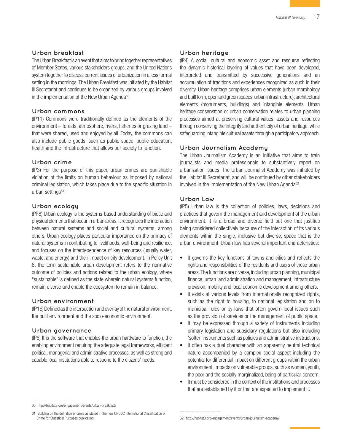#### **Urban breakfast**

The Urban Breakfast is an event that aims to bring together representatives of Member States, various stakeholders groups, and the United Nations system together to discuss current issues of urbanization in a less formal setting in the mornings. The Urban Breakfast was initiated by the Habitat III Secretariat and continues to be organized by various groups involved in the implementation of the New Urban Agenda<sup>60</sup>.

#### **Urban commons**

(IP11) Commons were traditionally defined as the elements of the environment – forests, atmosphere, rivers, fisheries or grazing land – that were shared, used and enjoyed by all. Today, the commons can also include public goods, such as public space, public education, health and the infrastructure that allows our society to function.

#### **Urban crime**

(IP3) For the purpose of this paper, urban crimes are punishable violation of the limits on human behaviour as imposed by national criminal legislation, which takes place due to the specific situation in urban settings<sup>61</sup>.

#### **Urban ecology**

(PP8) Urban ecology is the systems-based understanding of biotic and physical elements that occur in urban areas. It recognizes the interaction between natural systems and social and cultural systems, among others. Urban ecology places particular importance on the primacy of natural systems in contributing to livelihoods, well-being and resilience, and focuses on the interdependence of key resources (usually water, waste, and energy) and their impact on city development. In Policy Unit 8, the term sustainable urban development refers to the normative outcome of policies and actions related to the urban ecology, where "sustainable" is defined as the state wherein natural systems function, remain diverse and enable the ecosystem to remain in balance.

#### **Urban environment**

(IP16) Defined as the intersection and overlay of the natural environment, the built environment and the socio-economic environment.

#### **Urban governance**

(IP6) It is the software that enables the urban hardware to function, the enabling environment requiring the adequate legal frameworks, efficient political, managerial and administrative processes, as well as strong and capable local institutions able to respond to the citizens' needs.

#### **Urban heritage**

(IP4) A social, cultural and economic asset and resource reflecting the dynamic historical layering of values that have been developed, interpreted and transmitted by successive generations and an accumulation of traditions and experiences recognized as such in their diversity. Urban heritage comprises urban elements (urban morphology and built form, open and green spaces, urban infrastructure), architectural elements (monuments, buildings) and intangible elements. Urban heritage conservation or urban conservation relates to urban planning processes aimed at preserving cultural values, assets and resources through conserving the integrity and authenticity of urban heritage, while safeguarding intangible cultural assets through a participatory approach.

#### **Urban Journalism Academy**

The Urban Journalism Academy is an initiative that aims to train journalists and media professionals to substantively report on urbanization issues. The Urban Journalist Academy was initiated by the Habitat III Secretariat, and will be continued by other stakeholders involved in the implementation of the New Urban Agenda<sup>62</sup>.

#### **Urban Law**

(IP5) Urban law is the collection of policies, laws, decisions and practices that govern the management and development of the urban environment. It is a broad and diverse field but one that justifies being considered collectively because of the interaction of its various elements within the single, inclusive but diverse, space that is the urban environment. Urban law has several important characteristics:

- It governs the key functions of towns and cities and reflects the rights and responsibilities of the residents and users of these urban areas. The functions are diverse, including urban planning, municipal finance, urban land administration and management, infrastructure provision, mobility and local economic development among others.
- It exists at various levels from internationally recognized rights, such as the right to housing, to national legislation and on to municipal rules or by-laws that often govern local issues such as the provision of services or the management of public space.
- It may be expressed through a variety of instruments including primary legislation and subsidiary regulations but also including 'softer' instruments such as policies and administrative instructions.
- It often has a dual character with an apparently neutral technical nature accompanied by a complex social aspect including the potential for differential impact on different groups within the urban environment. Impacts on vulnerable groups, such as women, youth, the poor and the socially marginalized, being of particular concern.
- It must be considered in the context of the institutions and processes that are established by it or that are expected to implement it.

<sup>60</sup> <http://habitat3.org/engagement/events/urban-breakfasts>

<sup>61</sup> Building on the definition of crime as stated in the new UNODC International Classification of Crime for Statistical Purposes publication.

<sup>62</sup> <http://habitat3.org/engagement/events/urban-journalism-academy/>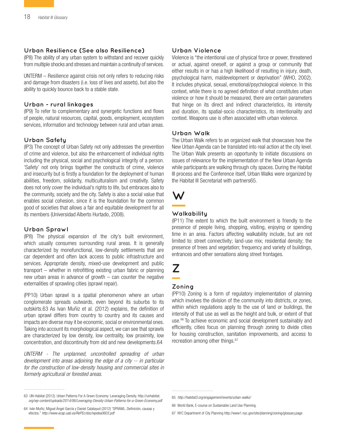#### **Urban Resilience (See also Resilience)**

(IP8) The ability of any urban system to withstand and recover quickly from multiple shocks and stresses and maintain a continuity of services.

UNTERM – Resilience against crisis not only refers to reducing risks and damage from disasters (i.e. loss of lives and assets), but also the ability to quickly bounce back to a stable state.

#### **Urban - rural linkages**

(IP9) To refer to complementary and synergetic functions and flows of people, natural resources, capital, goods, employment, ecosystem services, information and technology between rural and urban areas.

#### **Urban Safety**

(IP3) The concept of Urban Safety not only addresses the prevention of crime and violence, but also the enhancement of individual rights including the physical, social and psychological integrity of a person. 'Safety' not only brings together the constructs of crime, violence and insecurity but is firstly a foundation for the deployment of human abilities, freedom, solidarity, multiculturalism and creativity. Safety does not only cover the individual's rights to life, but embraces also to the community, society and the city. Safety is also a social value that enables social cohesion, since it is the foundation for the common good of societies that allows a fair and equitable development for all its members (Universidad Alberto Hurtado, 2008).

#### **Urban Sprawl**

(IP8) The physical expansion of the city's built environment, which usually consumes surrounding rural areas. It is generally characterized by monofunctional, low-density settlements that are car dependent and often lack access to public infrastructure and services. Appropriate density, mixed-use development and public transport – whether in retrofitting existing urban fabric or planning new urban areas in advance of growth – can counter the negative externalities of sprawling cities (sprawl repair).

(PP10) Urban sprawl is a spatial phenomenon where an urban conglomerate spreads outwards, even beyond its suburbs to its outskirts.63 As Ivan Muñiz et al. (2012) explains, the definition of urban sprawl differs from country to country and its causes and impacts are diverse may it be economic, social or environmental ones. Taking into account its morphological aspect, we can see that sprawls are characterized by low density, low centrality, low proximity, low concentration, and discontinuity from old and new developments.64

*UNTERM - The unplanned, uncontrolled spreading of urban development into areas adjoining the edge of a city -- in particular for the construction of low-density housing and commercial sites in formerly agricultural or forested areas.* 

#### **Urban Violence**

Violence is "the intentional use of physical force or power, threatened or actual, against oneself, or against a group or community that either results in or has a high likelihood of resulting in injury, death, psychological harm, maldevelopment or deprivation" (WHO, 2002). It includes physical, sexual, emotional/psychological violence. In this context, while there is no agreed definition of what constitutes urban violence or how it should be measured, there are certain parameters that hinge on its direct and indirect characteristics, its intensity and duration, its spatial-socio characteristics, its intentionality and context. Weapons use is often associated with urban violence.

#### **Urban Walk**

The Urban Walk refers to an organized walk that showcases how the New Urban Agenda can be translated into real action at the city level. The Urban Walk presents an opportunity to initiate discussions on issues of relevance for the implementation of the New Urban Agenda while participants are walking through city spaces. During the Habitat III process and the Conference itself, Urban Walks were organized by the Habitat III Secretariat with partners65.



#### **Walkability**

(IP11) The extent to which the built environment is friendly to the presence of people living, shopping, visiting, enjoying or spending time in an area. Factors affecting walkability include, but are not limited to: [street connectivity](file:///FREDDIEZ%20BIGG%20FOLDER/FREDDIEZ%20WORK%20FOLDER/In%20Progress/Habitat%20III/H3%20Glossary/ ); [land-use](file:///FREDDIEZ%20BIGG%20FOLDER/FREDDIEZ%20WORK%20FOLDER/In%20Progress/Habitat%20III/H3%20Glossary/ ) mix; residential density; the presence of trees and vegetation; frequency and variety of buildings, entrances and other sensations along street frontages.

### **Z**

#### **Zoning**

(PP10) Zoning is a form of regulatory implementation of planning which involves the division of the community into districts, or zones, within which regulations apply to the use of land or buildings, the intensity of that use as well as the height and bulk, or extent of that use.<sup>66</sup> To achieve economic and social development sustainably and efficiently, cities focus on planning through zoning to divide cities for housing construction, sanitation improvements, and access to recreation among other things.<sup>67</sup>

<sup>63</sup> UN-Habitat (2012). Urban Patterns For A Green Economy: Leveraging Density. [http://unhabitat.](file:///FREDDIEZ%20BIGG%20FOLDER/FREDDIEZ%20WORK%20FOLDER/In%20Progress/Habitat%20III/H3%20Glossary/wp-content/uploads/2014/06/Leveraging-Density-Urban-Patterns-for-a-Green-Economy.pdf) *[org/wp-content/uploads/2014/06/Leveraging-Density-Urban-Patterns-for-a-Green-Economy.pdf](file:///FREDDIEZ%20BIGG%20FOLDER/FREDDIEZ%20WORK%20FOLDER/In%20Progress/Habitat%20III/H3%20Glossary/wp-content/uploads/2014/06/Leveraging-Density-Urban-Patterns-for-a-Green-Economy.pdf)*

<sup>64</sup> Iván Muñiz, Miguel Ángel García y Daniel Calatayud (2012) "SPRAWL. Definición, causas y efectos." *<http://www.ecap.uab.es/RePEc/doc/wpdea0603.pdf>*

<sup>65</sup> *<http://habitat3.org/engagement/events/urban-walks/>*

<sup>66</sup> World Bank, E-course on Sustainable Land Use Planning.

<sup>67</sup> NYC Department of City Planning<http://www1.nyc.gov/site/planning/zoning/glossary.page>